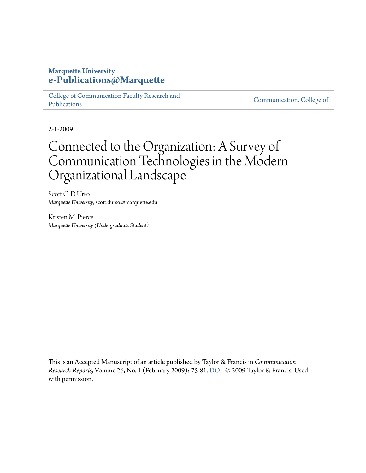#### **Marquette University [e-Publications@Marquette](https://epublications.marquette.edu)**

[College of Communication Faculty Research and](https://epublications.marquette.edu/comm_fac) [Publications](https://epublications.marquette.edu/comm_fac)

[Communication, College of](https://epublications.marquette.edu/communication)

2-1-2009

## Connected to the Organization: A Survey of Communication Technologies in the Modern Organizational Landscape

Scott C. D'Urso *Marquette University*, scott.durso@marquette.edu

Kristen M. Pierce *Marquette University (Undergraduate Student)*

This is an Accepted Manuscript of an article published by Taylor & Francis in *Communication Research Reports,* Volume 26, No. 1 (February 2009): 75-81. [DOI](http://dx.doi.org/10.1080/08824090802637098). © 2009 Taylor & Francis. Used with permission.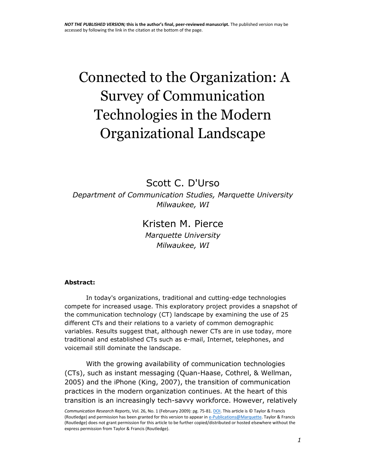# Connected to the Organization: A Survey of Communication Technologies in the Modern Organizational Landscape

[Scott C. D'Urso](http://www.tandfonline.com/author/D%27Urso%2C+S+C) *Department of Communication Studies, Marquette University Milwaukee, WI*

## [Kristen M. Pierce](http://www.tandfonline.com/author/Pierce%2C+K+M)

*Marquette University Milwaukee, WI* 

#### **Abstract:**

In today's organizations, traditional and cutting-edge technologies compete for increased usage. This exploratory project provides a snapshot of the communication technology (CT) landscape by examining the use of 25 different CTs and their relations to a variety of common demographic variables. Results suggest that, although newer CTs are in use today, more traditional and established CTs such as e-mail, Internet, telephones, and voicemail still dominate the landscape.

With the growing availability of communication technologies (CTs), such as instant messaging (Quan-Haase, Cothrel, & Wellman, 2005) and the iPhone (King, 2007), the transition of communication practices in the modern organization continues. At the heart of this transition is an increasingly tech-savvy workforce. However, relatively

*Communication Research Reports*, Vol. 26, No. 1 (February 2009): pg. 75-81[. DOI.](http://dx.doi.org/10.1080/08824090802637098) This article is © Taylor & Francis (Routledge) and permission has been granted for this version to appear i[n e-Publications@Marquette.](http://epublications.marquette.edu/) Taylor & Francis (Routledge) does not grant permission for this article to be further copied/distributed or hosted elsewhere without the express permission from Taylor & Francis (Routledge).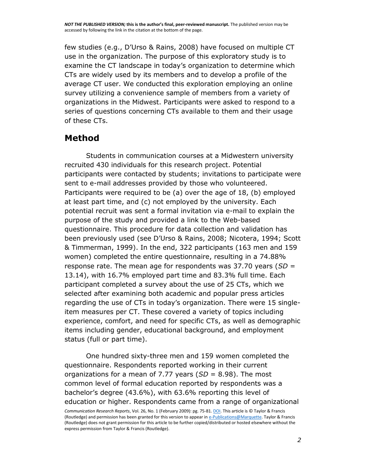few studies (e.g., D'Urso & Rains, 2008) have focused on multiple CT use in the organization. The purpose of this exploratory study is to examine the CT landscape in today's organization to determine which CTs are widely used by its members and to develop a profile of the average CT user. We conducted this exploration employing an online survey utilizing a convenience sample of members from a variety of organizations in the Midwest. Participants were asked to respond to a series of questions concerning CTs available to them and their usage of these CTs.

## **Method**

Students in communication courses at a Midwestern university recruited 430 individuals for this research project. Potential participants were contacted by students; invitations to participate were sent to e-mail addresses provided by those who volunteered. Participants were required to be (a) over the age of 18, (b) employed at least part time, and (c) not employed by the university. Each potential recruit was sent a formal invitation via e-mail to explain the purpose of the study and provided a link to the Web-based questionnaire. This procedure for data collection and validation has been previously used (see D'Urso & Rains, 2008; Nicotera, 1994; Scott & Timmerman, 1999). In the end, 322 participants (163 men and 159 women) completed the entire questionnaire, resulting in a 74.88% response rate. The mean age for respondents was 37.70 years (*SD* = 13.14), with 16.7% employed part time and 83.3% full time. Each participant completed a survey about the use of 25 CTs, which we selected after examining both academic and popular press articles regarding the use of CTs in today's organization. There were 15 singleitem measures per CT. These covered a variety of topics including experience, comfort, and need for specific CTs, as well as demographic items including gender, educational background, and employment status (full or part time).

One hundred sixty-three men and 159 women completed the questionnaire. Respondents reported working in their current organizations for a mean of 7.77 years (*SD* = 8.98). The most common level of formal education reported by respondents was a bachelor's degree (43.6%), with 63.6% reporting this level of education or higher. Respondents came from a range of organizational

*Communication Research Reports*, Vol. 26, No. 1 (February 2009): pg. 75-81[. DOI.](http://dx.doi.org/10.1080/08824090802637098) This article is © Taylor & Francis (Routledge) and permission has been granted for this version to appear i[n e-Publications@Marquette.](http://epublications.marquette.edu/) Taylor & Francis (Routledge) does not grant permission for this article to be further copied/distributed or hosted elsewhere without the express permission from Taylor & Francis (Routledge).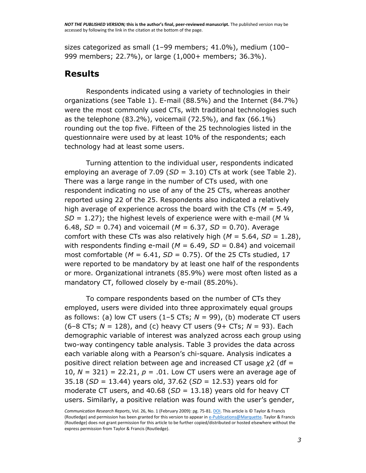sizes categorized as small (1–99 members; 41.0%), medium (100– 999 members; 22.7%), or large (1,000+ members; 36.3%).

### **Results**

Respondents indicated using a variety of technologies in their organizations (see Table 1). E-mail (88.5%) and the Internet (84.7%) were the most commonly used CTs, with traditional technologies such as the telephone (83.2%), voicemail (72.5%), and fax (66.1%) rounding out the top five. Fifteen of the 25 technologies listed in the questionnaire were used by at least 10% of the respondents; each technology had at least some users.

Turning attention to the individual user, respondents indicated employing an average of 7.09 (*SD* = 3.10) CTs at work (see Table 2). There was a large range in the number of CTs used, with one respondent indicating no use of any of the 25 CTs, whereas another reported using 22 of the 25. Respondents also indicated a relatively high average of experience across the board with the CTs (*M* = 5.49, *SD* = 1.27); the highest levels of experience were with e-mail (*M* ¼ 6.48, *SD* = 0.74) and voicemail (*M* = 6.37, *SD* = 0.70). Average comfort with these CTs was also relatively high (*M* = 5.64, *SD* = 1.28), with respondents finding e-mail ( $M = 6.49$ ,  $SD = 0.84$ ) and voicemail most comfortable (*M* = 6.41, *SD* = 0.75). Of the 25 CTs studied, 17 were reported to be mandatory by at least one half of the respondents or more. Organizational intranets (85.9%) were most often listed as a mandatory CT, followed closely by e-mail (85.20%).

To compare respondents based on the number of CTs they employed, users were divided into three approximately equal groups as follows: (a) low CT users  $(1-5$  CTs;  $N = 99$ ), (b) moderate CT users (6–8 CTs; *N* = 128), and (c) heavy CT users (9+ CTs; *N* = 93). Each demographic variable of interest was analyzed across each group using two-way contingency table analysis. Table 3 provides the data across each variable along with a Pearson's chi-square. Analysis indicates a positive direct relation between age and increased CT usage *χ*2 (df = 10,  $N = 321$ ) = 22.21,  $p = .01$ . Low CT users were an average age of 35.18 (*SD* = 13.44) years old, 37.62 (*SD* = 12.53) years old for moderate CT users, and 40.68 (*SD* = 13.18) years old for heavy CT users. Similarly, a positive relation was found with the user's gender,

*Communication Research Reports*, Vol. 26, No. 1 (February 2009): pg. 75-81[. DOI.](http://dx.doi.org/10.1080/08824090802637098) This article is © Taylor & Francis (Routledge) and permission has been granted for this version to appear i[n e-Publications@Marquette.](http://epublications.marquette.edu/) Taylor & Francis (Routledge) does not grant permission for this article to be further copied/distributed or hosted elsewhere without the express permission from Taylor & Francis (Routledge).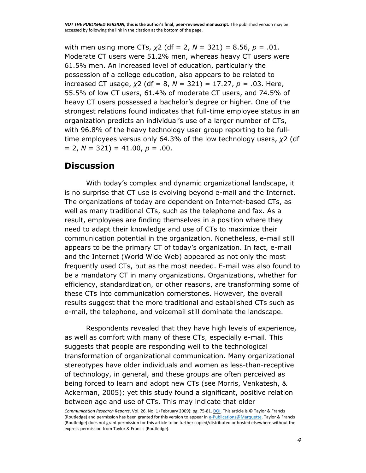with men using more CTs, *χ*2 (df = 2, *N* = 321) = 8.56, *p* = .01. Moderate CT users were 51.2% men, whereas heavy CT users were 61.5% men. An increased level of education, particularly the possession of a college education, also appears to be related to increased CT usage, *χ*2 (df = 8, *N* = 321) = 17.27, *p* = .03. Here, 55.5% of low CT users, 61.4% of moderate CT users, and 74.5% of heavy CT users possessed a bachelor's degree or higher. One of the strongest relations found indicates that full-time employee status in an organization predicts an individual's use of a larger number of CTs, with 96.8% of the heavy technology user group reporting to be fulltime employees versus only 64.3% of the low technology users, *χ*2 (df  $= 2, N = 321$ ) = 41.00,  $p = .00$ .

#### **Discussion**

With today's complex and dynamic organizational landscape, it is no surprise that CT use is evolving beyond e-mail and the Internet. The organizations of today are dependent on Internet-based CTs, as well as many traditional CTs, such as the telephone and fax. As a result, employees are finding themselves in a position where they need to adapt their knowledge and use of CTs to maximize their communication potential in the organization. Nonetheless, e-mail still appears to be the primary CT of today's organization. In fact, e-mail and the Internet (World Wide Web) appeared as not only the most frequently used CTs, but as the most needed. E-mail was also found to be a mandatory CT in many organizations. Organizations, whether for efficiency, standardization, or other reasons, are transforming some of these CTs into communication cornerstones. However, the overall results suggest that the more traditional and established CTs such as e-mail, the telephone, and voicemail still dominate the landscape.

Respondents revealed that they have high levels of experience, as well as comfort with many of these CTs, especially e-mail. This suggests that people are responding well to the technological transformation of organizational communication. Many organizational stereotypes have older individuals and women as less-than-receptive of technology, in general, and these groups are often perceived as being forced to learn and adopt new CTs (see Morris, Venkatesh, & Ackerman, 2005); yet this study found a significant, positive relation between age and use of CTs. This may indicate that older

*Communication Research Reports*, Vol. 26, No. 1 (February 2009): pg. 75-81[. DOI.](http://dx.doi.org/10.1080/08824090802637098) This article is © Taylor & Francis (Routledge) and permission has been granted for this version to appear i[n e-Publications@Marquette.](http://epublications.marquette.edu/) Taylor & Francis (Routledge) does not grant permission for this article to be further copied/distributed or hosted elsewhere without the express permission from Taylor & Francis (Routledge).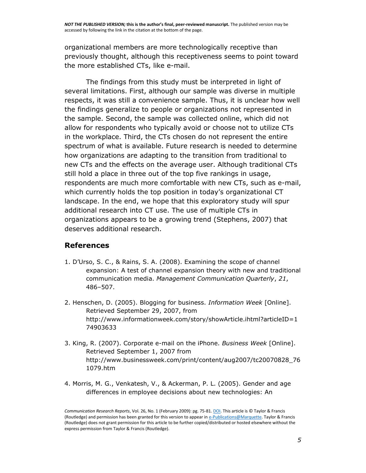organizational members are more technologically receptive than previously thought, although this receptiveness seems to point toward the more established CTs, like e-mail.

The findings from this study must be interpreted in light of several limitations. First, although our sample was diverse in multiple respects, it was still a convenience sample. Thus, it is unclear how well the findings generalize to people or organizations not represented in the sample. Second, the sample was collected online, which did not allow for respondents who typically avoid or choose not to utilize CTs in the workplace. Third, the CTs chosen do not represent the entire spectrum of what is available. Future research is needed to determine how organizations are adapting to the transition from traditional to new CTs and the effects on the average user. Although traditional CTs still hold a place in three out of the top five rankings in usage, respondents are much more comfortable with new CTs, such as e-mail, which currently holds the top position in today's organizational CT landscape. In the end, we hope that this exploratory study will spur additional research into CT use. The use of multiple CTs in organizations appears to be a growing trend (Stephens, 2007) that deserves additional research.

#### **References**

- 1. D'Urso, S. C., & Rains, S. A. (2008). Examining the scope of channel expansion: A test of channel expansion theory with new and traditional communication media. *Management Communication Quarterly*, *21*, 486–507.
- 2. Henschen, D. (2005). Blogging for business. *Information Week* [Online]. Retrieved September 29, 2007, from http://www.informationweek.com/story/showArticle.ihtml?articleID=1 74903633
- 3. King, R. (2007). Corporate e-mail on the iPhone. *Business Week* [Online]. Retrieved September 1, 2007 from http://www.businessweek.com/print/content/aug2007/tc20070828\_76 1079.htm
- 4. Morris, M. G., Venkatesh, V., & Ackerman, P. L. (2005). Gender and age differences in employee decisions about new technologies: An

*Communication Research Reports*, Vol. 26, No. 1 (February 2009): pg. 75-81[. DOI.](http://dx.doi.org/10.1080/08824090802637098) This article is © Taylor & Francis (Routledge) and permission has been granted for this version to appear i[n e-Publications@Marquette.](http://epublications.marquette.edu/) Taylor & Francis (Routledge) does not grant permission for this article to be further copied/distributed or hosted elsewhere without the express permission from Taylor & Francis (Routledge).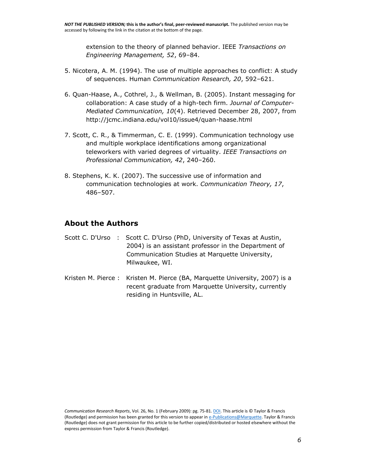extension to the theory of planned behavior. IEEE *Transactions on Engineering Management, 52*, 69–84.

- 5. Nicotera, A. M. (1994). The use of multiple approaches to conflict: A study of sequences. Human *Communication Research, 20*, 592–621.
- 6. Quan-Haase, A., Cothrel, J., & Wellman, B. (2005). Instant messaging for collaboration: A case study of a high-tech firm. *Journal of Computer-Mediated Communication, 10*(4). Retrieved December 28, 2007, from http://jcmc.indiana.edu/vol10/issue4/quan-haase.html
- 7. Scott, C. R., & Timmerman, C. E. (1999). Communication technology use and multiple workplace identifications among organizational teleworkers with varied degrees of virtuality. *IEEE Transactions on Professional Communication, 42*, 240–260.
- 8. Stephens, K. K. (2007). The successive use of information and communication technologies at work. *Communication Theory, 17*, 486–507.

#### **About the Authors**

- [Scott C. D'Urso](http://www.tandfonline.com/author/D%27Urso%2C+S+C) : Scott C. D'Urso (PhD, University of Texas at Austin, 2004) is an assistant professor in the Department of Communication Studies at Marquette University, Milwaukee, WI.
- [Kristen M. Pierce](http://www.tandfonline.com/author/Pierce%2C+K+M) : Kristen M. Pierce (BA, Marquette University, 2007) is a recent graduate from Marquette University, currently residing in Huntsville, AL.

*Communication Research Reports*, Vol. 26, No. 1 (February 2009): pg. 75-81[. DOI.](http://dx.doi.org/10.1080/08824090802637098) This article is © Taylor & Francis (Routledge) and permission has been granted for this version to appear i[n e-Publications@Marquette.](http://epublications.marquette.edu/) Taylor & Francis (Routledge) does not grant permission for this article to be further copied/distributed or hosted elsewhere without the express permission from Taylor & Francis (Routledge).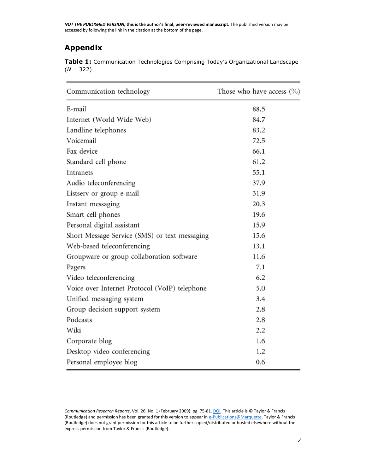### **Appendix**

|             |  | Table 1: Communication Technologies Comprising Today's Organizational Landscape |
|-------------|--|---------------------------------------------------------------------------------|
| $(N = 322)$ |  |                                                                                 |

| Communication technology                      | Those who have access $(\%)$ |  |  |  |
|-----------------------------------------------|------------------------------|--|--|--|
| E-mail                                        | 88.5                         |  |  |  |
| Internet (World Wide Web)                     | 84.7                         |  |  |  |
| Landline telephones                           | 83.2                         |  |  |  |
| Voicemail                                     | 72.5                         |  |  |  |
| Fax device                                    | 66.1                         |  |  |  |
| Standard cell phone                           | 61.2                         |  |  |  |
| Intranets                                     | 55.1                         |  |  |  |
| Audio teleconferencing                        | 37.9                         |  |  |  |
| Listserv or group e-mail                      | 31.9                         |  |  |  |
| Instant messaging                             | 20.3                         |  |  |  |
| Smart cell phones                             | 19.6                         |  |  |  |
| Personal digital assistant                    | 15.9                         |  |  |  |
| Short Message Service (SMS) or text messaging | 15.6                         |  |  |  |
| Web-based teleconferencing                    | 13.1                         |  |  |  |
| Groupware or group collaboration software     | 11.6                         |  |  |  |
| Pagers                                        | 7.1                          |  |  |  |
| Video teleconferencing                        | 6.2                          |  |  |  |
| Voice over Internet Protocol (VoIP) telephone | 5.0                          |  |  |  |
| Unified messaging system                      | 3.4                          |  |  |  |
| Group decision support system                 | 2.8                          |  |  |  |
| Podcasts                                      | 2.8                          |  |  |  |
| Wiki                                          | 2.2                          |  |  |  |
| Corporate blog                                | 1.6                          |  |  |  |
| Desktop video conferencing                    | 1.2                          |  |  |  |
| Personal employee blog                        | 0.6                          |  |  |  |

*Communication Research Reports*, Vol. 26, No. 1 (February 2009): pg. 75-81[. DOI.](http://dx.doi.org/10.1080/08824090802637098) This article is © Taylor & Francis (Routledge) and permission has been granted for this version to appear in  $e$ -Publications@Marquette. Taylor & Francis (Routledge) does not grant permission for this article to be further copied/distributed or hosted elsewhere without the express permission from Taylor & Francis (Routledge).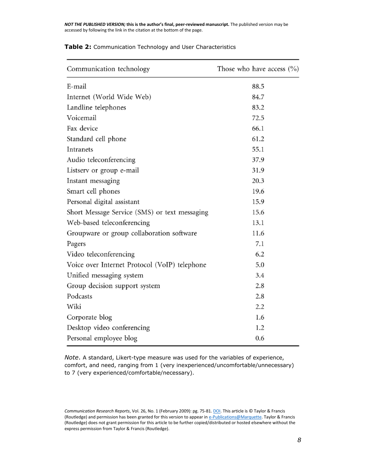*NOT THE PUBLISHED VERSION;* **this is the author's final, peer-reviewed manuscript.** The published version may be accessed by following the link in the citation at the bottom of the page.

| Communication technology                      | Those who have access $(\% )$ |  |  |  |
|-----------------------------------------------|-------------------------------|--|--|--|
| E-mail                                        | 88.5                          |  |  |  |
| Internet (World Wide Web)                     | 84.7                          |  |  |  |
| Landline telephones                           | 83.2                          |  |  |  |
| Voicemail                                     | 72.5                          |  |  |  |
| Fax device                                    | 66.1                          |  |  |  |
| Standard cell phone                           | 61.2                          |  |  |  |
| Intranets                                     | 55.1                          |  |  |  |
| Audio teleconferencing                        | 37.9                          |  |  |  |
| Listserv or group e-mail                      | 31.9                          |  |  |  |
| Instant messaging                             | 20.3                          |  |  |  |
| Smart cell phones                             | 19.6                          |  |  |  |
| Personal digital assistant                    | 15.9                          |  |  |  |
| Short Message Service (SMS) or text messaging | 15.6                          |  |  |  |
| Web-based teleconferencing                    | 13.1                          |  |  |  |
| Groupware or group collaboration software     | 11.6                          |  |  |  |
| Pagers                                        | 7.1                           |  |  |  |
| Video teleconferencing                        | 6.2                           |  |  |  |
| Voice over Internet Protocol (VoIP) telephone | 5.0                           |  |  |  |
| Unified messaging system                      | 3.4                           |  |  |  |
| Group decision support system                 | 2.8                           |  |  |  |
| Podcasts                                      | 2.8                           |  |  |  |
| Wiki                                          | 2.2                           |  |  |  |
| Corporate blog                                | 1.6                           |  |  |  |
| Desktop video conferencing                    | 1.2                           |  |  |  |
| Personal employee blog                        | 0.6                           |  |  |  |

#### **Table 2:** Communication Technology and User Characteristics

*Note*. A standard, Likert-type measure was used for the variables of experience, comfort, and need, ranging from 1 (very inexperienced/uncomfortable/unnecessary) to 7 (very experienced/comfortable/necessary).

*Communication Research Reports*, Vol. 26, No. 1 (February 2009): pg. 75-81[. DOI.](http://dx.doi.org/10.1080/08824090802637098) This article is © Taylor & Francis (Routledge) and permission has been granted for this version to appear i[n e-Publications@Marquette.](http://epublications.marquette.edu/) Taylor & Francis (Routledge) does not grant permission for this article to be further copied/distributed or hosted elsewhere without the express permission from Taylor & Francis (Routledge).